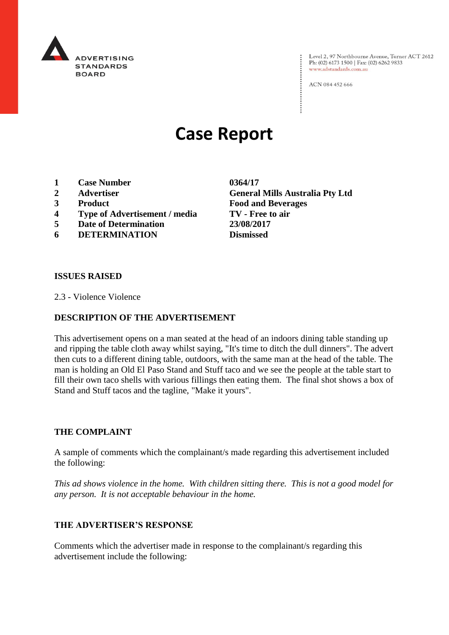

Level 2, 97 Northbourne Avenue, Turner ACT 2612<br>Ph: (02) 6173 1500 | Fax: (02) 6262 9833 www.adstandards.com.au

ACN 084 452 666

# **Case Report**

- **1 Case Number 0364/17**
- 
- 
- **4 Type of Advertisement / media TV - Free to air**
- **5 Date of Determination 23/08/2017**
- **6 DETERMINATION Dismissed**

**2 Advertiser General Mills Australia Pty Ltd 3 Product Food and Beverages**

#### **ISSUES RAISED**

2.3 - Violence Violence

#### **DESCRIPTION OF THE ADVERTISEMENT**

This advertisement opens on a man seated at the head of an indoors dining table standing up and ripping the table cloth away whilst saying, "It's time to ditch the dull dinners". The advert then cuts to a different dining table, outdoors, with the same man at the head of the table. The man is holding an Old El Paso Stand and Stuff taco and we see the people at the table start to fill their own taco shells with various fillings then eating them. The final shot shows a box of Stand and Stuff tacos and the tagline, "Make it yours".

#### **THE COMPLAINT**

A sample of comments which the complainant/s made regarding this advertisement included the following:

*This ad shows violence in the home. With children sitting there. This is not a good model for any person. It is not acceptable behaviour in the home.*

#### **THE ADVERTISER'S RESPONSE**

Comments which the advertiser made in response to the complainant/s regarding this advertisement include the following: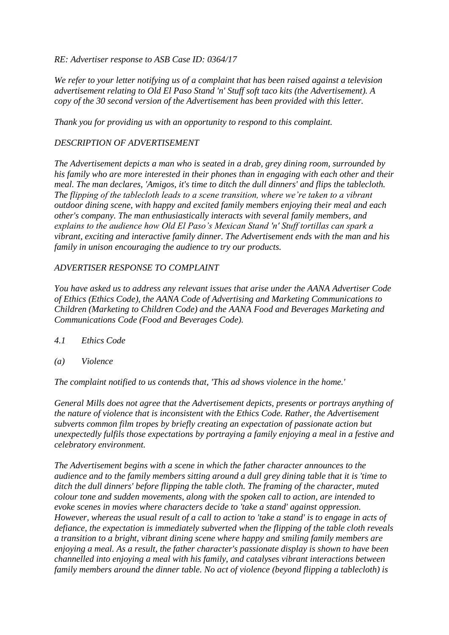#### *RE: Advertiser response to ASB Case ID: 0364/17*

*We refer to your letter notifying us of a complaint that has been raised against a television advertisement relating to Old El Paso Stand 'n' Stuff soft taco kits (the Advertisement). A copy of the 30 second version of the Advertisement has been provided with this letter.*

*Thank you for providing us with an opportunity to respond to this complaint.*

# *DESCRIPTION OF ADVERTISEMENT*

*The Advertisement depicts a man who is seated in a drab, grey dining room, surrounded by his family who are more interested in their phones than in engaging with each other and their meal. The man declares, 'Amigos, it's time to ditch the dull dinners' and flips the tablecloth. The flipping of the tablecloth leads to a scene transition, where we're taken to a vibrant outdoor dining scene, with happy and excited family members enjoying their meal and each other's company. The man enthusiastically interacts with several family members, and explains to the audience how Old El Paso's Mexican Stand 'n' Stuff tortillas can spark a vibrant, exciting and interactive family dinner. The Advertisement ends with the man and his family in unison encouraging the audience to try our products.*

# *ADVERTISER RESPONSE TO COMPLAINT*

*You have asked us to address any relevant issues that arise under the AANA Advertiser Code of Ethics (Ethics Code), the AANA Code of Advertising and Marketing Communications to Children (Marketing to Children Code) and the AANA Food and Beverages Marketing and Communications Code (Food and Beverages Code).*

- *4.1 Ethics Code*
- *(a) Violence*

*The complaint notified to us contends that, 'This ad shows violence in the home.'*

*General Mills does not agree that the Advertisement depicts, presents or portrays anything of the nature of violence that is inconsistent with the Ethics Code. Rather, the Advertisement subverts common film tropes by briefly creating an expectation of passionate action but unexpectedly fulfils those expectations by portraying a family enjoying a meal in a festive and celebratory environment.*

*The Advertisement begins with a scene in which the father character announces to the audience and to the family members sitting around a dull grey dining table that it is 'time to ditch the dull dinners' before flipping the table cloth. The framing of the character, muted colour tone and sudden movements, along with the spoken call to action, are intended to evoke scenes in movies where characters decide to 'take a stand' against oppression. However, whereas the usual result of a call to action to 'take a stand' is to engage in acts of defiance, the expectation is immediately subverted when the flipping of the table cloth reveals a transition to a bright, vibrant dining scene where happy and smiling family members are enjoying a meal. As a result, the father character's passionate display is shown to have been channelled into enjoying a meal with his family, and catalyses vibrant interactions between family members around the dinner table. No act of violence (beyond flipping a tablecloth) is*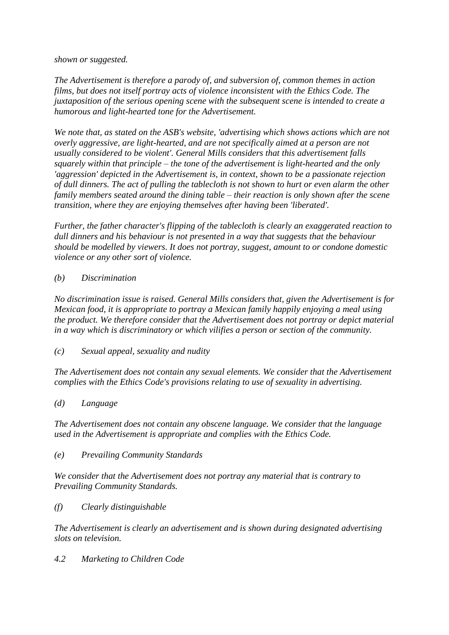*shown or suggested.*

*The Advertisement is therefore a parody of, and subversion of, common themes in action films, but does not itself portray acts of violence inconsistent with the Ethics Code. The juxtaposition of the serious opening scene with the subsequent scene is intended to create a humorous and light-hearted tone for the Advertisement.*

*We note that, as stated on the ASB's website, 'advertising which shows actions which are not overly aggressive, are light-hearted, and are not specifically aimed at a person are not usually considered to be violent'. General Mills considers that this advertisement falls squarely within that principle – the tone of the advertisement is light-hearted and the only 'aggression' depicted in the Advertisement is, in context, shown to be a passionate rejection of dull dinners. The act of pulling the tablecloth is not shown to hurt or even alarm the other family members seated around the dining table – their reaction is only shown after the scene transition, where they are enjoying themselves after having been 'liberated'.*

*Further, the father character's flipping of the tablecloth is clearly an exaggerated reaction to dull dinners and his behaviour is not presented in a way that suggests that the behaviour should be modelled by viewers. It does not portray, suggest, amount to or condone domestic violence or any other sort of violence.*

# *(b) Discrimination*

*No discrimination issue is raised. General Mills considers that, given the Advertisement is for Mexican food, it is appropriate to portray a Mexican family happily enjoying a meal using the product. We therefore consider that the Advertisement does not portray or depict material in a way which is discriminatory or which vilifies a person or section of the community.*

*(c) Sexual appeal, sexuality and nudity*

*The Advertisement does not contain any sexual elements. We consider that the Advertisement complies with the Ethics Code's provisions relating to use of sexuality in advertising.*

# *(d) Language*

*The Advertisement does not contain any obscene language. We consider that the language used in the Advertisement is appropriate and complies with the Ethics Code.*

*(e) Prevailing Community Standards*

*We consider that the Advertisement does not portray any material that is contrary to Prevailing Community Standards.*

*(f) Clearly distinguishable*

*The Advertisement is clearly an advertisement and is shown during designated advertising slots on television.*

*4.2 Marketing to Children Code*